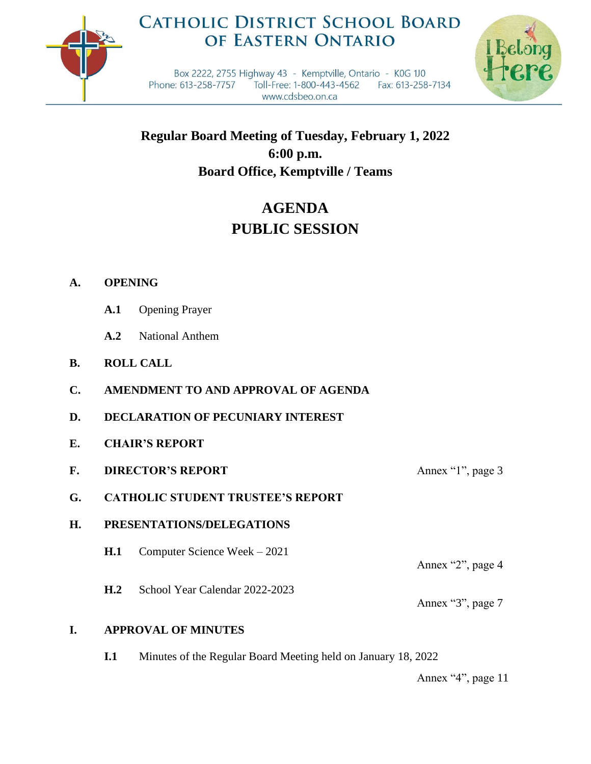

## **CATHOLIC DISTRICT SCHOOL BOARD** OF EASTERN ONTARIO



Box 2222, 2755 Highway 43 - Kemptville, Ontario - K0G 1J0 Phone: 613-258-7757 Toll-Free: 1-800-443-4562 Fax: 613-258-7134 www.cdsbeo.on.ca

**Regular Board Meeting of Tuesday, February 1, 2022 6:00 p.m. Board Office, Kemptville / Teams**

# **AGENDA PUBLIC SESSION**

## **A. OPENING**

- **A.1** Opening Prayer
- **A.2** National Anthem
- **B. ROLL CALL**
- **C. AMENDMENT TO AND APPROVAL OF AGENDA**
- **D. DECLARATION OF PECUNIARY INTEREST**
- **E. CHAIR'S REPORT**
- **F. DIRECTOR'S REPORT** Annex "1", page 3
- **G. CATHOLIC STUDENT TRUSTEE'S REPORT**

## **H. PRESENTATIONS/DELEGATIONS**

- **H.1** Computer Science Week 2021
- **H.2** School Year Calendar 2022-2023

Annex "2", page 4

Annex "3", page 7

## **I. APPROVAL OF MINUTES**

**I.1** Minutes of the Regular Board Meeting held on January 18, 2022

Annex "4", page 11